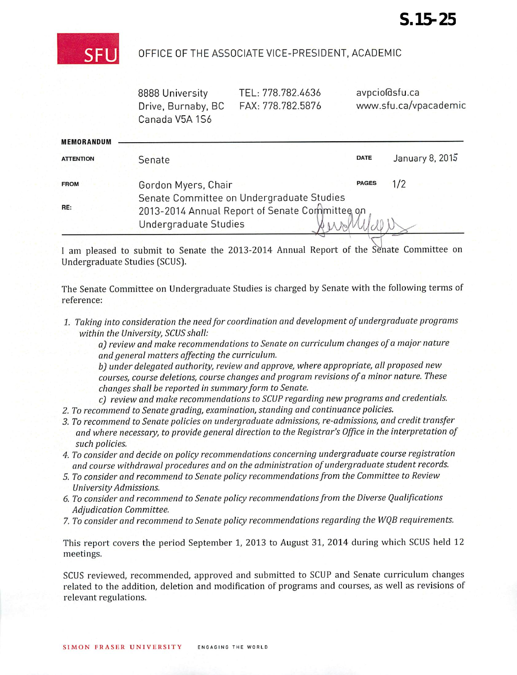

## OFFICE OF THE ASSOCIATE VICE-PRESIDENT, ACADEMIC

8888 University Drive, Burnaby, BC Canada V5A 1S6

TEL: 778.782.4636 FAX: 778.782.5876 avpcio(dsfu.ca www.sfu.ca/vpacademic

| <b>MEMORANDUM</b> |                                                                                                                      |              |                 |
|-------------------|----------------------------------------------------------------------------------------------------------------------|--------------|-----------------|
| <b>ATTENTION</b>  | Senate                                                                                                               | <b>DATE</b>  | January 8, 2015 |
| <b>FROM</b>       | Gordon Myers, Chair                                                                                                  | <b>PAGES</b> | 1/2             |
| RE:               | Senate Committee on Undergraduate Studies<br>2013-2014 Annual Report of Senate Committee on<br>Undergraduate Studies |              |                 |

I am pleased to submit to Senate the 2013-2014 Annual Report of the Senate Committee on Undergraduate Studies (SCUS].

The Senate Committee on Undergraduate Studies is charged by Senate with the following terms of reference:

**1. Taking into consideration theneedfor coordination and development ofundergraduate programs within the University,SCUS shall:**

**a) review andmake recommendations toSenate oncurriculum changes ofa major nature andgeneral matters affecting the curriculum.**

**b) under delegated authority, review and approve, where appropriate, allproposed new courses, course deletions, course changes and programrevisionsofa minornature. These changes shall be reported in summaryform to Senate.**

**c) review and make recommendations toSCUP regarding new programs and credentials.**

- **2. To recommend to Senategrading, examination, standing andcontinuance policies.**
- **3. To recommend toSenatepolicieson undergraduate admissions, re-admissions, and credittransfer and where necessary, toprovide general direction to theRegistrar's Office in the interpretation of such policies.**
- **4. To considerand decide on policyrecommendations concerning undergraduatecourse registration andcourse withdrawal procedures andon the administration of undergraduate studentrecords.**
- **5. To consider and recommend to Senate policy recommendationsfrom the Committee to Review University Admissions.**
- **6. Toconsider and recommend to Senate policy recommendationsfrom the Diverse Qualifications Adjudication Committee.**
- **7. Toconsider and recommend to Senate policy recommendations regarding the WQB requirements.**

This report covers the period September 1, 2013 to August 31, 2014 during which SCUS held 12 meetings.

SCUS reviewed, recommended, approved and submitted to SCUP and Senate curriculum changes related to the addition, deletion and modification of programs and courses, as well as revisions of relevant regulations.